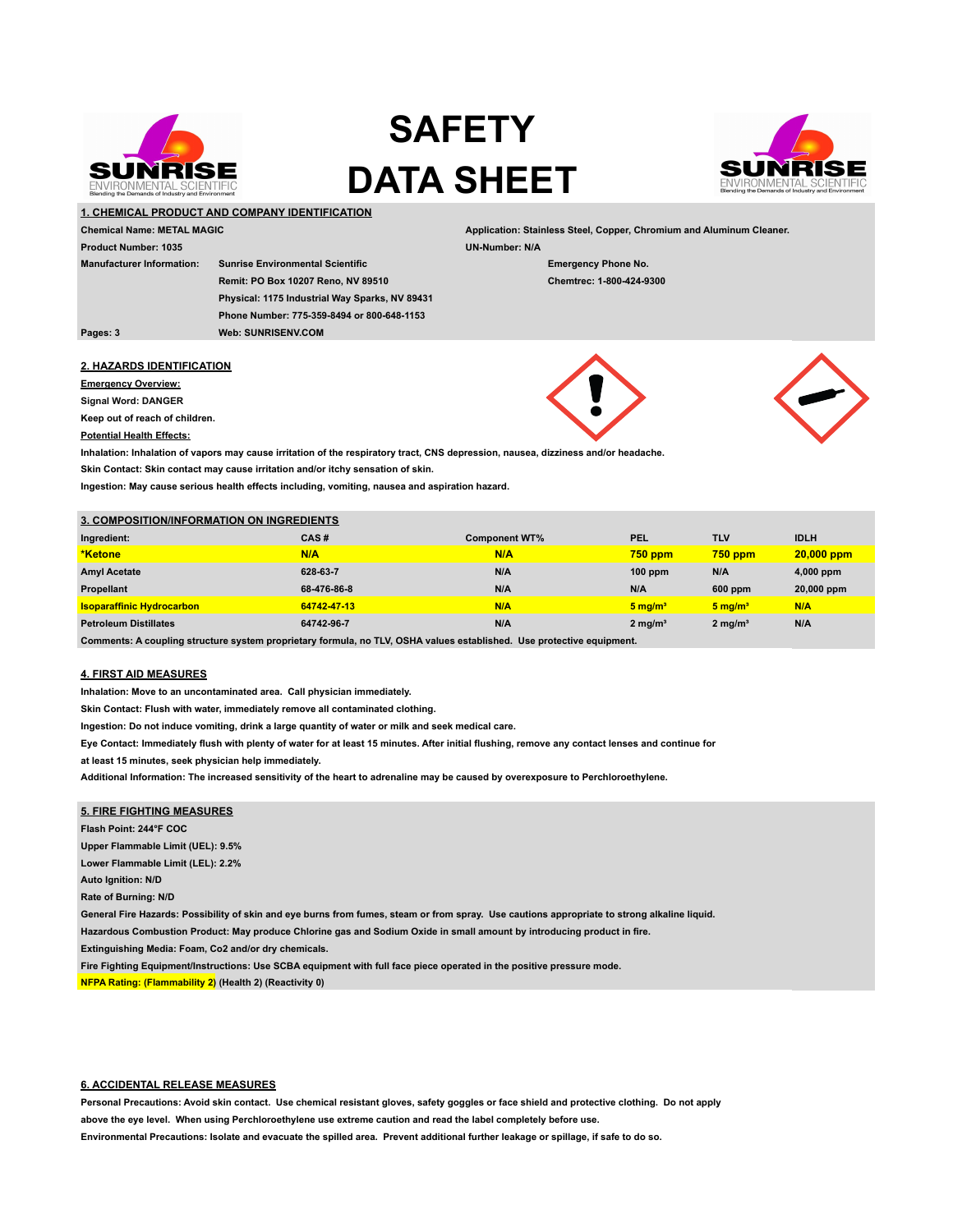

# **SAFETY DATA SHEET 1. CHEMICAL PRODUCT AND COMPANY IDENTIFICATION**



| <b>Chemical Name: METAL MAGIC</b>                                           |                                                | Application: Stainless Steel, Copper, Chromium and Aluminum Cleaner. |  |  |
|-----------------------------------------------------------------------------|------------------------------------------------|----------------------------------------------------------------------|--|--|
| <b>Product Number: 1035</b>                                                 |                                                | <b>UN-Number: N/A</b>                                                |  |  |
| <b>Manufacturer Information:</b><br><b>Sunrise Environmental Scientific</b> |                                                | <b>Emergency Phone No.</b>                                           |  |  |
|                                                                             | Remit: PO Box 10207 Reno, NV 89510             | Chemtrec: 1-800-424-9300                                             |  |  |
|                                                                             | Physical: 1175 Industrial Way Sparks, NV 89431 |                                                                      |  |  |
|                                                                             | Phone Number: 775-359-8494 or 800-648-1153     |                                                                      |  |  |
| Pages: 3                                                                    | <b>Web: SUNRISENV.COM</b>                      |                                                                      |  |  |
| A ULAZARRA IRENTIFIAATIAN                                                   |                                                |                                                                      |  |  |

## **2. HAZARDS IDENTIFICATION**

**Emergency Overview:**

**Signal Word: DANGER**

**Keep out of reach of children.** 

#### **Potential Health Effects:**

**Inhalation: Inhalation of vapors may cause irritation of the respiratory tract, CNS depression, nausea, dizziness and/or headache.**

**Skin Contact: Skin contact may cause irritation and/or itchy sensation of skin.**

**Ingestion: May cause serious health effects including, vomiting, nausea and aspiration hazard.**

# **3. COMPOSITION/INFORMATION ON INGREDIENTS**

| Ingredient:                      | CAS#        | <b>Component WT%</b> | PEL                   | <b>TLV</b>            | <b>IDLH</b>  |
|----------------------------------|-------------|----------------------|-----------------------|-----------------------|--------------|
| <b>*Ketone</b>                   | N/A         | N/A                  | $750$ ppm             | $750$ ppm             | $20,000$ ppm |
| <b>Amyl Acetate</b>              | 628-63-7    | N/A                  | $100$ ppm             | N/A                   | 4,000 ppm    |
| Propellant                       | 68-476-86-8 | N/A                  | N/A                   | 600 ppm               | 20,000 ppm   |
| <b>Isoparaffinic Hydrocarbon</b> | 64742-47-13 | N/A                  | $5 \,\mathrm{mg/m^3}$ | $5 \,\mathrm{mg/m^3}$ | N/A          |
| <b>Petroleum Distillates</b>     | 64742 96-7  | N/A                  | $2 \text{ mg/m}^3$    | $2$ mg/m <sup>3</sup> | N/A          |

**Comments: A coupling structure system proprietary formula, no TLV, OSHA values established. Use protective equipment.**

#### **4. FIRST AID MEASURES**

**Inhalation: Move to an uncontaminated area. Call physician immediately.** 

**Skin Contact: Flush with water, immediately remove all contaminated clothing.** 

**Ingestion: Do not induce vomiting, drink a large quantity of water or milk and seek medical care.** 

**Eye Contact: Immediately flush with plenty of water for at least 15 minutes. After initial flushing, remove any contact lenses and continue for**

**at least 15 minutes, seek physician help immediately.**

**Additional Information: The increased sensitivity of the heart to adrenaline may be caused by overexposure to Perchloroethylene.**

## **5. FIRE FIGHTING MEASURES**

**Flash Point: 244°F COC**

**Upper Flammable Limit (UEL): 9.5%**

**Lower Flammable Limit (LEL): 2.2%**

**Auto Ignition: N/D**

**Rate of Burning: N/D**

**General Fire Hazards: Possibility of skin and eye burns from fumes, steam or from spray. Use cautions appropriate to strong alkaline liquid.**

**Hazardous Combustion Product: May produce Chlorine gas and Sodium Oxide in small amount by introducing product in fire.**

**Extinguishing Media: Foam, Co2 and/or dry chemicals.**

**Fire Fighting Equipment/Instructions: Use SCBA equipment with full face piece operated in the positive pressure mode.**

**NFPA Rating: (Flammability 2) (Health 2) (Reactivity 0)**

## **6. ACCIDENTAL RELEASE MEASURES**

**Personal Precautions: Avoid skin contact. Use chemical resistant gloves, safety goggles or face shield and protective clothing. Do not apply above the eye level. When using Perchloroethylene use extreme caution and read the label completely before use.**

**Environmental Precautions: Isolate and evacuate the spilled area. Prevent additional further leakage or spillage, if safe to do so.**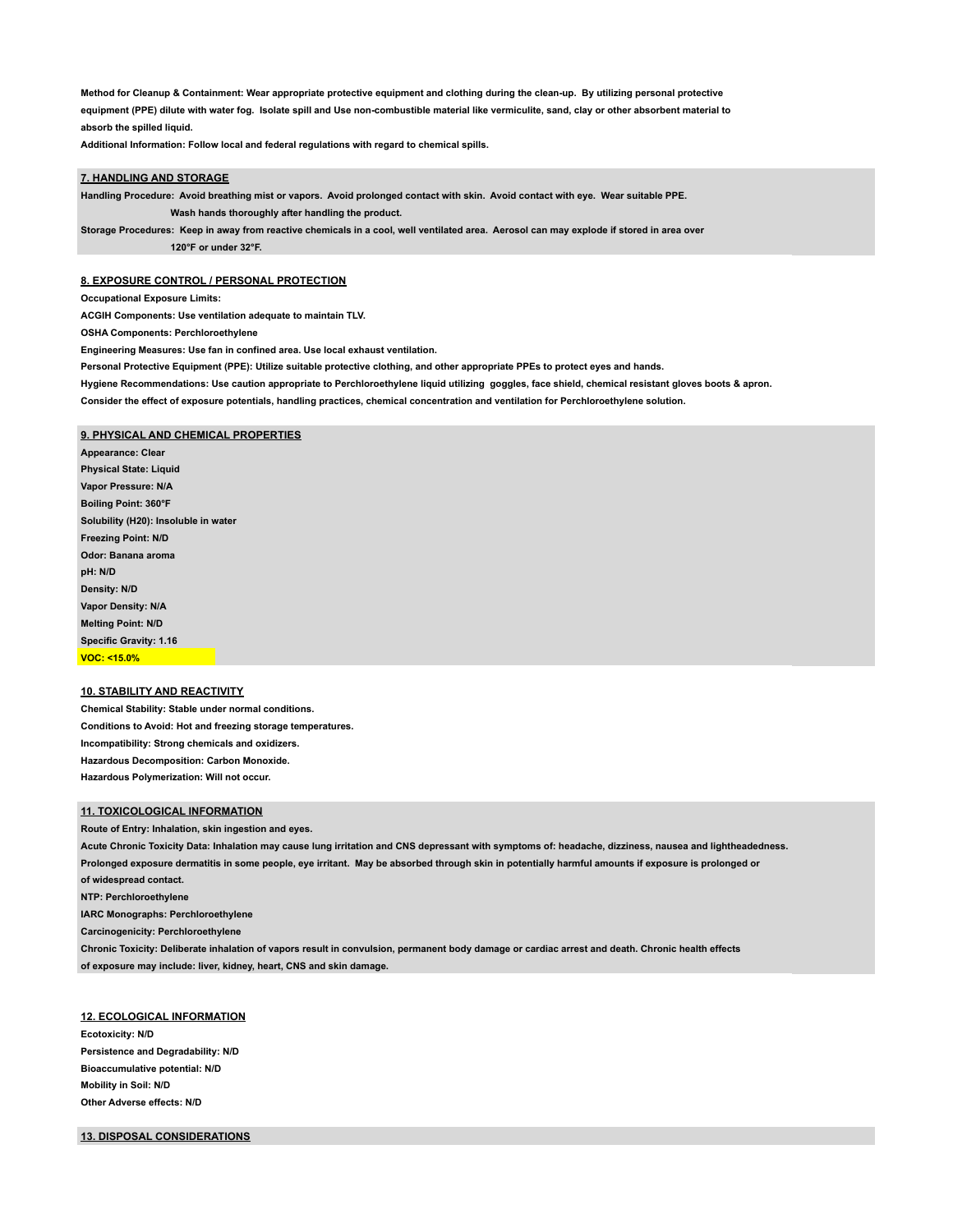**Method for Cleanup & Containment: Wear appropriate protective equipment and clothing during the clean-up. By utilizing personal protective equipment (PPE) dilute with water fog. Isolate spill and Use non-combustible material like vermiculite, sand, clay or other absorbent material to absorb the spilled liquid.**

**Additional Information: Follow local and federal regulations with regard to chemical spills.**

# **7. HANDLING AND STORAGE**

**Handling Procedure: Avoid breathing mist or vapors. Avoid prolonged contact with skin. Avoid contact with eye. Wear suitable PPE. Wash hands thoroughly after handling the product. Storage Procedures: Keep in away from reactive chemicals in a cool, well ventilated area. Aerosol can may explode if stored in area over** 

 **120°F or under 32°F.**

## **8. EXPOSURE CONTROL / PERSONAL PROTECTION**

**Occupational Exposure Limits:**

**ACGIH Components: Use ventilation adequate to maintain TLV.**

**OSHA Components: Perchloroethylene**

**Engineering Measures: Use fan in confined area. Use local exhaust ventilation.**

**Personal Protective Equipment (PPE): Utilize suitable protective clothing, and other appropriate PPEs to protect eyes and hands.**

**Hygiene Recommendations: Use caution appropriate to Perchloroethylene liquid utilizing goggles, face shield, chemical resistant gloves boots & apron.**

**Consider the effect of exposure potentials, handling practices, chemical concentration and ventilation for Perchloroethylene solution.**

## **9. PHYSICAL AND CHEMICAL PROPERTIES**

**Appearance: Clear Physical State: Liquid Vapor Pressure: N/A Boiling Point: 360°F Solubility (H20): Insoluble in water Freezing Point: N/D Odor: Banana aroma pH: N/D Density: N/D Vapor Density: N/A Melting Point: N/D Specific Gravity: 1.16 VOC: <15.0%** 

#### **10. STABILITY AND REACTIVITY**

**Chemical Stability: Stable under normal conditions. Conditions to Avoid: Hot and freezing storage temperatures. Incompatibility: Strong chemicals and oxidizers. Hazardous Decomposition: Carbon Monoxide. Hazardous Polymerization: Will not occur.**

#### **11. TOXICOLOGICAL INFORMATION**

**Route of Entry: Inhalation, skin ingestion and eyes. Acute Chronic Toxicity Data: Inhalation may cause lung irritation and CNS depressant with symptoms of: headache, dizziness, nausea and lightheadedness. Prolonged exposure dermatitis in some people, eye irritant. May be absorbed through skin in potentially harmful amounts if exposure is prolonged or of widespread contact. NTP: Perchloroethylene IARC Monographs: Perchloroethylene Carcinogenicity: Perchloroethylene Chronic Toxicity: Deliberate inhalation of vapors result in convulsion, permanent body damage or cardiac arrest and death. Chronic health effects of exposure may include: liver, kidney, heart, CNS and skin damage.**

#### **12. ECOLOGICAL INFORMATION**

**Ecotoxicity: N/D Persistence and Degradability: N/D Bioaccumulative potential: N/D Mobility in Soil: N/D Other Adverse effects: N/D**

#### **13. DISPOSAL CONSIDERATIONS**